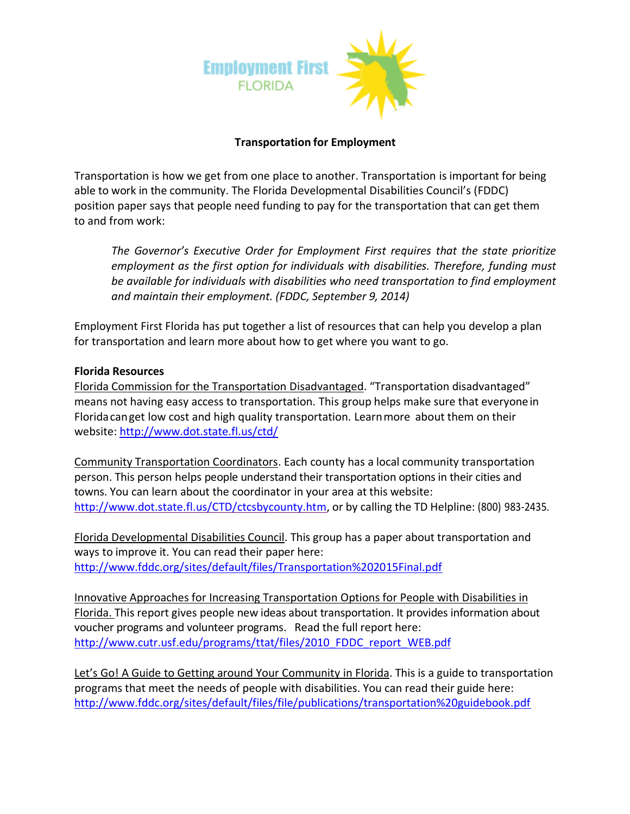

## **Transportation for Employment**

Transportation is how we get from one place to another. Transportation is important for being able to work in the community. The Florida Developmental Disabilities Council's (FDDC) position paper says that people need funding to pay for the transportation that can get them to and from work:

*The Governor's Executive Order for Employment First requires that the state prioritize employment as the first option for individuals with disabilities. Therefore, funding must be available for individuals with disabilities who need transportation to find employment and maintain their employment. (FDDC, September 9, 2014)*

Employment First Florida has put together a list of resources that can help you develop a plan for transportation and learn more about how to get where you want to go.

## **Florida Resources**

Florida Commission for the Transportation Disadvantaged. "Transportation disadvantaged" means not having easy access to transportation. This group helps make sure that everyonein Floridacanget low cost and high quality transportation. Learnmore about them on their website: <http://www.dot.state.fl.us/ctd/>

Community Transportation Coordinators. Each county has a local community transportation person. This person helps people understand their transportation options in their cities and towns. You can learn about the coordinator in your area at this website: [http://www.dot.state.fl.us/CTD/ctcsbycounty.htm,](http://www.dot.state.fl.us/CTD/ctcsbycounty.htm) or by calling the TD Helpline: (800) 983-2435.

Florida Developmental Disabilities Council. This group has a paper about transportation and ways to improve it. You can read their paper here: <http://www.fddc.org/sites/default/files/Transportation%202015Final.pdf>

Innovative Approaches for Increasing Transportation Options for People with Disabilities in Florida. This report gives people new ideas about transportation. It provides information about voucher programs and volunteer programs. Read the full report here: [http://www.cutr.usf.edu/programs/ttat/files/2010\\_FDDC\\_report\\_WEB.pdf](http://www.cutr.usf.edu/programs/ttat/files/2010_FDDC_report_WEB.pdf)

Let's Go! A Guide to Getting around Your Community in Florida. This is a guide to transportation programs that meet the needs of people with disabilities. You can read their guide here: <http://www.fddc.org/sites/default/files/file/publications/transportation%20guidebook.pdf>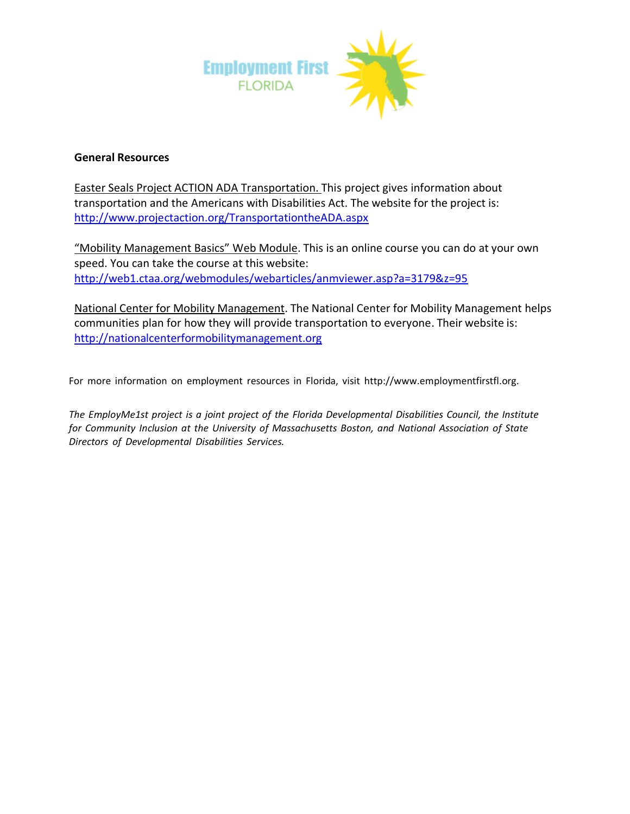

## **General Resources**

Easter Seals Project ACTION ADA Transportation. This project gives information about transportation and the Americans with Disabilities Act. The website for the project is: <http://www.projectaction.org/TransportationtheADA.aspx>

"Mobility Management Basics" Web Module. This is an online course you can do at your own speed. You can take the course at this website: <http://web1.ctaa.org/webmodules/webarticles/anmviewer.asp?a=3179&z=95>

National Center for Mobility Management. The National Center for Mobility Management helps communities plan for how they will provide transportation to everyone. Their website is: [http://nationalcenterformobilitymanagement.org](http://nationalcenterformobilitymanagement.org/)

For more information on employment resources in Florida, visit [http://www.employmentfirstfl.org.](http://www.employmentfirstfl.org/)

*The EmployMe1st project is a joint project of the Florida Developmental Disabilities Council, the Institute for Community Inclusion at the University of Massachusetts Boston, and National Association of State Directors of Developmental Disabilities Services.*